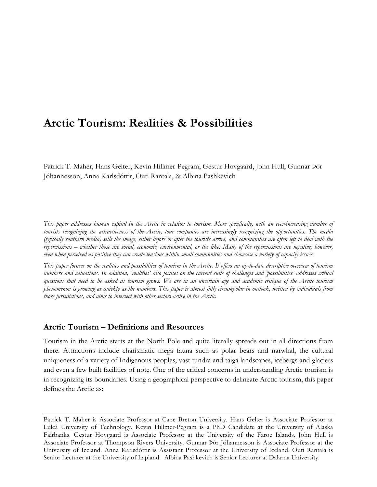# **Arctic Tourism: Realities & Possibilities**

Patrick T. Maher, Hans Gelter, Kevin Hillmer-Pegram, Gestur Hovgaard, John Hull, Gunnar Þór Jóhannesson, Anna Karlsdóttir, Outi Rantala, & Albina Pashkevich

*This paper addresses human capital in the Arctic in relation to tourism. More specifically, with an ever-increasing number of tourists recognizing the attractiveness of the Arctic, tour companies are increasingly recognizing the opportunities. The media (typically southern media) sells the image, either before or after the tourists arrive, and communities are often left to deal with the repercussions – whether those are social, economic, environmental, or the like. Many of the repercussions are negative; however, even when perceived as positive they can create tensions within small communities and showcase a variety of capacity issues.* 

*This paper focuses on the realities and possibilities of tourism in the Arctic. It offers an up-to-date descriptive overview of tourism numbers and valuations. In addition, 'realities' also focuses on the current suite of challenges and 'possibilities' addresses critical questions that need to be asked as tourism grows. We are in an uncertain age and academic critique of the Arctic tourism phenomenon is growing as quickly as the numbers. This paper is almost fully circumpolar in outlook, written by individuals from those jurisdictions, and aims to intersect with other sectors active in the Arctic.*

## **Arctic Tourism – Definitions and Resources**

Tourism in the Arctic starts at the North Pole and quite literally spreads out in all directions from there. Attractions include charismatic mega fauna such as polar bears and narwhal, the cultural uniqueness of a variety of Indigenous peoples, vast tundra and taiga landscapes, icebergs and glaciers and even a few built facilities of note. One of the critical concerns in understanding Arctic tourism is in recognizing its boundaries. Using a geographical perspective to delineate Arctic tourism, this paper defines the Arctic as:

Patrick T. Maher is Associate Professor at Cape Breton University. Hans Gelter is Associate Professor at Luleå University of Technology. Kevin Hillmer-Pegram is a PhD Candidate at the University of Alaska Fairbanks. Gestur Hovgaard is Associate Professor at the University of the Faroe Islands. John Hull is Associate Professor at Thompson Rivers University. Gunnar Þór Jóhannesson is Associate Professor at the University of Iceland. Anna Karlsdóttir is Assistant Professor at the University of Iceland. Outi Rantala is Senior Lecturer at the University of Lapland. Albina Pashkevich is Senior Lecturer at Dalarna University.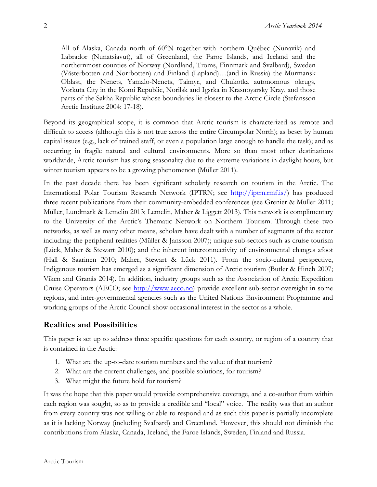All of Alaska, Canada north of 60°N together with northern Québec (Nunavik) and Labrador (Nunatsiavut), all of Greenland, the Faroe Islands, and Iceland and the northernmost counties of Norway (Nordland, Troms, Finnmark and Svalbard), Sweden (Västerbotten and Norrbotten) and Finland (Lapland)…(and in Russia) the Murmansk Oblast, the Nenets, Yamalo-Nenets, Taimyr, and Chukotka autonomous okrugs, Vorkuta City in the Komi Republic, Norilsk and Igsrka in Krasnoyarsky Kray, and those parts of the Sakha Republic whose boundaries lie closest to the Arctic Circle (Stefansson Arctic Institute 2004: 17-18).

Beyond its geographical scope, it is common that Arctic tourism is characterized as remote and difficult to access (although this is not true across the entire Circumpolar North); as beset by human capital issues (e.g., lack of trained staff, or even a population large enough to handle the task); and as occurring in fragile natural and cultural environments. More so than most other destinations worldwide, Arctic tourism has strong seasonality due to the extreme variations in daylight hours, but winter tourism appears to be a growing phenomenon (Müller 2011).

In the past decade there has been significant scholarly research on tourism in the Arctic. The International Polar Tourism Research Network (IPTRN; see http://iptrn.rmf.is/) has produced three recent publications from their community-embedded conferences (see Grenier & Müller 2011; Müller, Lundmark & Lemelin 2013; Lemelin, Maher & Liggett 2013). This network is complimentary to the University of the Arctic's Thematic Network on Northern Tourism. Through these two networks, as well as many other means, scholars have dealt with a number of segments of the sector including: the peripheral realities (Müller & Jansson 2007); unique sub-sectors such as cruise tourism (Lück, Maher & Stewart 2010); and the inherent interconnectivity of environmental changes afoot (Hall & Saarinen 2010; Maher, Stewart & Lück 2011). From the socio-cultural perspective, Indigenous tourism has emerged as a significant dimension of Arctic tourism (Butler & Hinch 2007; Viken and Granås 2014). In addition, industry groups such as the Association of Arctic Expedition Cruise Operators (AECO; see http://www.aeco.no) provide excellent sub-sector oversight in some regions, and inter-governmental agencies such as the United Nations Environment Programme and working groups of the Arctic Council show occasional interest in the sector as a whole.

# **Realities and Possibilities**

This paper is set up to address three specific questions for each country, or region of a country that is contained in the Arctic:

- 1. What are the up-to-date tourism numbers and the value of that tourism?
- 2. What are the current challenges, and possible solutions, for tourism?
- 3. What might the future hold for tourism?

It was the hope that this paper would provide comprehensive coverage, and a co-author from within each region was sought, so as to provide a credible and "local" voice. The reality was that an author from every country was not willing or able to respond and as such this paper is partially incomplete as it is lacking Norway (including Svalbard) and Greenland. However, this should not diminish the contributions from Alaska, Canada, Iceland, the Faroe Islands, Sweden, Finland and Russia.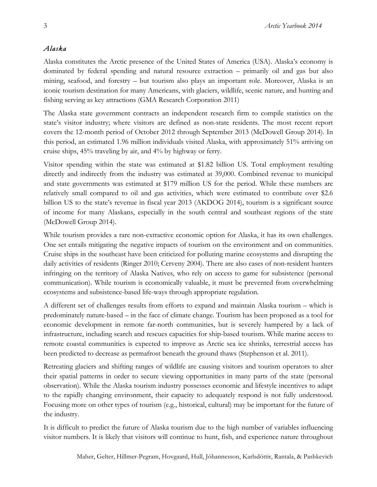## *Alaska*

Alaska constitutes the Arctic presence of the United States of America (USA). Alaska's economy is dominated by federal spending and natural resource extraction – primarily oil and gas but also mining, seafood, and forestry – but tourism also plays an important role. Moreover, Alaska is an iconic tourism destination for many Americans, with glaciers, wildlife, scenic nature, and hunting and fishing serving as key attractions (GMA Research Corporation 2011)

The Alaska state government contracts an independent research firm to compile statistics on the state's visitor industry; where visitors are defined as non-state residents. The most recent report covers the 12-month period of October 2012 through September 2013 (McDowell Group 2014). In this period, an estimated 1.96 million individuals visited Alaska, with approximately 51% arriving on cruise ships, 45% traveling by air, and 4% by highway or ferry.

Visitor spending within the state was estimated at \$1.82 billion US. Total employment resulting directly and indirectly from the industry was estimated at 39,000. Combined revenue to municipal and state governments was estimated at \$179 million US for the period. While these numbers are relatively small compared to oil and gas activities, which were estimated to contribute over \$2.6 billion US to the state's revenue in fiscal year 2013 (AKDOG 2014), tourism is a significant source of income for many Alaskans, especially in the south central and southeast regions of the state (McDowell Group 2014).

While tourism provides a rare non-extractive economic option for Alaska, it has its own challenges. One set entails mitigating the negative impacts of tourism on the environment and on communities. Cruise ships in the southeast have been criticized for polluting marine ecosystems and disrupting the daily activities of residents (Ringer 2010; Cerveny 2004). There are also cases of non-resident hunters infringing on the territory of Alaska Natives, who rely on access to game for subsistence (personal communication). While tourism is economically valuable, it must be prevented from overwhelming ecosystems and subsistence-based life-ways through appropriate regulation.

A different set of challenges results from efforts to expand and maintain Alaska tourism – which is predominately nature-based – in the face of climate change. Tourism has been proposed as a tool for economic development in remote far-north communities, but is severely hampered by a lack of infrastructure, including search and rescues capacities for ship-based tourism. While marine access to remote coastal communities is expected to improve as Arctic sea ice shrinks, terrestrial access has been predicted to decrease as permafrost beneath the ground thaws (Stephenson et al. 2011).

Retreating glaciers and shifting ranges of wildlife are causing visitors and tourism operators to alter their spatial patterns in order to secure viewing opportunities in many parts of the state (personal observation). While the Alaska tourism industry possesses economic and lifestyle incentives to adapt to the rapidly changing environment, their capacity to adequately respond is not fully understood. Focusing more on other types of tourism (e.g., historical, cultural) may be important for the future of the industry.

It is difficult to predict the future of Alaska tourism due to the high number of variables influencing visitor numbers. It is likely that visitors will continue to hunt, fish, and experience nature throughout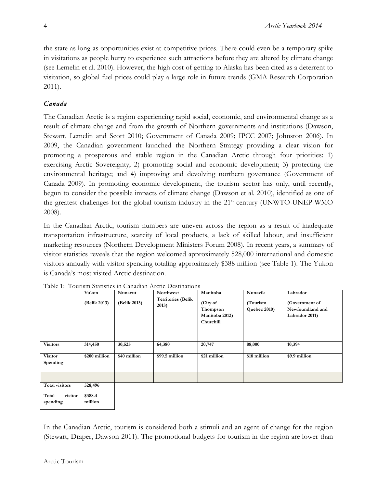the state as long as opportunities exist at competitive prices. There could even be a temporary spike in visitations as people hurry to experience such attractions before they are altered by climate change (see Lemelin et al. 2010). However, the high cost of getting to Alaska has been cited as a deterrent to visitation, so global fuel prices could play a large role in future trends (GMA Research Corporation 2011).

# *Canada*

The Canadian Arctic is a region experiencing rapid social, economic, and environmental change as a result of climate change and from the growth of Northern governments and institutions (Dawson, Stewart, Lemelin and Scott 2010; Government of Canada 2009; IPCC 2007; Johnston 2006). In 2009, the Canadian government launched the Northern Strategy providing a clear vision for promoting a prosperous and stable region in the Canadian Arctic through four priorities: 1) exercising Arctic Sovereignty; 2) promoting social and economic development; 3) protecting the environmental heritage; and 4) improving and devolving northern governance (Government of Canada 2009). In promoting economic development, the tourism sector has only, until recently, begun to consider the possible impacts of climate change (Dawson et al. 2010), identified as one of the greatest challenges for the global tourism industry in the  $21<sup>st</sup>$  century (UNWTO-UNEP-WMO 2008).

In the Canadian Arctic, tourism numbers are uneven across the region as a result of inadequate transportation infrastructure, scarcity of local products, a lack of skilled labour, and insufficient marketing resources (Northern Development Ministers Forum 2008). In recent years, a summary of visitor statistics reveals that the region welcomed approximately 528,000 international and domestic visitors annually with visitor spending totaling approximately \$388 million (see Table 1). The Yukon is Canada's most visited Arctic destination.

|                              | Yukon<br>(Belik 2013) | Nunavut<br>(Belik 2013) | Northwest<br><b>Territories (Belik</b><br>2013) | Manitoba<br>(City of<br>Thompson<br>Manitoba 2012)<br>Churchill | Nunavik<br>(Tourism<br>Quebec 2010) | Labrador<br>(Government of<br>Newfoundland and<br>Labrador 2011) |
|------------------------------|-----------------------|-------------------------|-------------------------------------------------|-----------------------------------------------------------------|-------------------------------------|------------------------------------------------------------------|
| <b>Visitors</b>              | 314,450               | 30,525                  | 64,380                                          | 20,747                                                          | 88,000                              | 10,394                                                           |
| <b>Visitor</b><br>Spending   | \$200 million         | \$40 million            | \$99.5 million                                  | \$21 million                                                    | \$18 million                        | \$9.9 million                                                    |
|                              |                       |                         |                                                 |                                                                 |                                     |                                                                  |
| Total visitors               | 528,496               |                         |                                                 |                                                                 |                                     |                                                                  |
| Total<br>visitor<br>spending | \$388.4<br>million    |                         |                                                 |                                                                 |                                     |                                                                  |

In the Canadian Arctic, tourism is considered both a stimuli and an agent of change for the region (Stewart, Draper, Dawson 2011). The promotional budgets for tourism in the region are lower than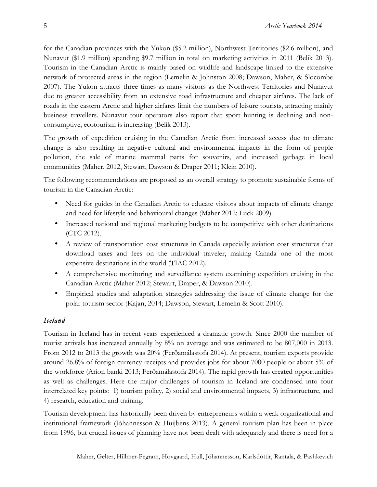for the Canadian provinces with the Yukon (\$5.2 million), Northwest Territories (\$2.6 million), and Nunavut (\$1.9 million) spending \$9.7 million in total on marketing activities in 2011 (Belik 2013). Tourism in the Canadian Arctic is mainly based on wildlife and landscape linked to the extensive network of protected areas in the region (Lemelin & Johnston 2008; Dawson, Maher, & Slocombe 2007). The Yukon attracts three times as many visitors as the Northwest Territories and Nunavut due to greater accessibility from an extensive road infrastructure and cheaper airfares. The lack of roads in the eastern Arctic and higher airfares limit the numbers of leisure tourists, attracting mainly business travellers. Nunavut tour operators also report that sport hunting is declining and nonconsumptive, ecotourism is increasing (Belik 2013).

The growth of expedition cruising in the Canadian Arctic from increased access due to climate change is also resulting in negative cultural and environmental impacts in the form of people pollution, the sale of marine mammal parts for souvenirs, and increased garbage in local communities (Maher, 2012, Stewart, Dawson & Draper 2011; Klein 2010).

The following recommendations are proposed as an overall strategy to promote sustainable forms of tourism in the Canadian Arctic:

- Need for guides in the Canadian Arctic to educate visitors about impacts of climate change and need for lifestyle and behavioural changes (Maher 2012; Luck 2009).
- Increased national and regional marketing budgets to be competitive with other destinations (CTC 2012).
- A review of transportation cost structures in Canada especially aviation cost structures that download taxes and fees on the individual traveler, making Canada one of the most expensive destinations in the world (TIAC 2012).
- A comprehensive monitoring and surveillance system examining expedition cruising in the Canadian Arctic (Maher 2012; Stewart, Draper, & Dawson 2010).
- Empirical studies and adaptation strategies addressing the issue of climate change for the polar tourism sector (Kajan, 2014; Dawson, Stewart, Lemelin & Scott 2010).

# *Iceland*

Tourism in Iceland has in recent years experienced a dramatic growth. Since 2000 the number of tourist arrivals has increased annually by 8% on average and was estimated to be 807,000 in 2013. From 2012 to 2013 the growth was 20% (Ferðamálastofa 2014). At present, tourism exports provide around 26.8% of foreign currency receipts and provides jobs for about 7000 people or about 5% of the workforce (Arion banki 2013; Ferðamálastofa 2014). The rapid growth has created opportunities as well as challenges. Here the major challenges of tourism in Iceland are condensed into four interrelated key points: 1) tourism policy, 2) social and environmental impacts, 3) infrastructure, and 4) research, education and training.

Tourism development has historically been driven by entrepreneurs within a weak organizational and institutional framework (Jóhannesson & Huijbens 2013). A general tourism plan has been in place from 1996, but crucial issues of planning have not been dealt with adequately and there is need for a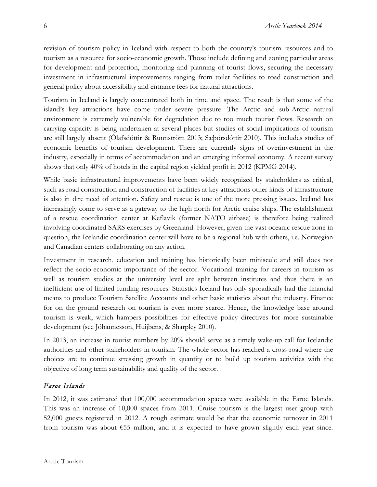revision of tourism policy in Iceland with respect to both the country's tourism resources and to tourism as a resource for socio-economic growth. Those include defining and zoning particular areas for development and protection, monitoring and planning of tourist flows, securing the necessary investment in infrastructural improvements ranging from toilet facilities to road construction and general policy about accessibility and entrance fees for natural attractions.

Tourism in Iceland is largely concentrated both in time and space. The result is that some of the island's key attractions have come under severe pressure. The Arctic and sub-Arctic natural environment is extremely vulnerable for degradation due to too much tourist flows. Research on carrying capacity is being undertaken at several places but studies of social implications of tourism are still largely absent (Ólafsdóttir & Runnström 2013; Sæþórsdóttir 2010). This includes studies of economic benefits of tourism development. There are currently signs of overinvestment in the industry, especially in terms of accommodation and an emerging informal economy. A recent survey shows that only 40% of hotels in the capital region yielded profit in 2012 (KPMG 2014).

While basic infrastructural improvements have been widely recognized by stakeholders as critical, such as road construction and construction of facilities at key attractions other kinds of infrastructure is also in dire need of attention. Safety and rescue is one of the more pressing issues. Iceland has increasingly come to serve as a gateway to the high north for Arctic cruise ships. The establishment of a rescue coordination center at Keflavik (former NATO airbase) is therefore being realized involving coordinated SARS exercises by Greenland. However, given the vast oceanic rescue zone in question, the Icelandic coordination center will have to be a regional hub with others, i.e. Norwegian and Canadian centers collaborating on any action.

Investment in research, education and training has historically been miniscule and still does not reflect the socio-economic importance of the sector. Vocational training for careers in tourism as well as tourism studies at the university level are split between institutes and thus there is an inefficient use of limited funding resources. Statistics Iceland has only sporadically had the financial means to produce Tourism Satellite Accounts and other basic statistics about the industry. Finance for on the ground research on tourism is even more scarce. Hence, the knowledge base around tourism is weak, which hampers possibilities for effective policy directives for more sustainable development (see Jóhannesson, Huijbens, & Sharpley 2010).

In 2013, an increase in tourist numbers by 20% should serve as a timely wake-up call for Icelandic authorities and other stakeholders in tourism. The whole sector has reached a cross-road where the choices are to continue stressing growth in quantity or to build up tourism activities with the objective of long term sustainability and quality of the sector.

# *Faroe Islands*

In 2012, it was estimated that 100,000 accommodation spaces were available in the Faroe Islands. This was an increase of 10,000 spaces from 2011. Cruise tourism is the largest user group with 52,000 guests registered in 2012. A rough estimate would be that the economic turnover in 2011 from tourism was about €55 million, and it is expected to have grown slightly each year since.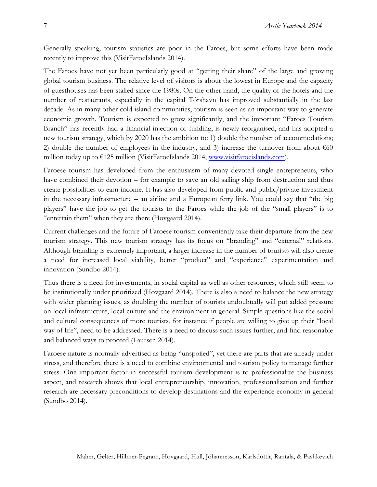Generally speaking, tourism statistics are poor in the Faroes, but some efforts have been made recently to improve this (VisitFaroeIslands 2014).

The Faroes have not yet been particularly good at "getting their share" of the large and growing global tourism business. The relative level of visitors is about the lowest in Europe and the capacity of guesthouses has been stalled since the 1980s. On the other hand, the quality of the hotels and the number of restaurants, especially in the capital Tórshavn has improved substantially in the last decade. As in many other cold island communities, tourism is seen as an important way to generate economic growth. Tourism is expected to grow significantly, and the important "Faroes Tourism Branch" has recently had a financial injection of funding, is newly reorganised, and has adopted a new tourism strategy, which by 2020 has the ambition to: 1) double the number of accommodations; 2) double the number of employees in the industry, and 3) increase the turnover from about  $\epsilon$ 60 million today up to  $\epsilon$ 125 million (VisitFaroeIslands 2014; www.visitfaroeislands.com).

Faroese tourism has developed from the enthusiasm of many devoted single entrepreneurs, who have combined their devotion – for example to save an old sailing ship from destruction and thus create possibilities to earn income. It has also developed from public and public/private investment in the necessary infrastructure – an airline and a European ferry link. You could say that "the big players" have the job to get the tourists to the Faroes while the job of the "small players" is to "entertain them" when they are there (Hovgaard 2014).

Current challenges and the future of Faroese tourism conveniently take their departure from the new tourism strategy. This new tourism strategy has its focus on "branding" and "external" relations. Although branding is extremely important, a larger increase in the number of tourists will also create a need for increased local viability, better "product" and "experience" experimentation and innovation (Sundbo 2014).

Thus there is a need for investments, in social capital as well as other resources, which still seem to be institutionally under prioritized (Hovgaard 2014). There is also a need to balance the new strategy with wider planning issues, as doubling the number of tourists undoubtedly will put added pressure on local infrastructure, local culture and the environment in general. Simple questions like the social and cultural consequences of more tourists, for instance if people are willing to give up their "local way of life", need to be addressed. There is a need to discuss such issues further, and find reasonable and balanced ways to proceed (Laursen 2014).

Faroese nature is normally advertised as being "unspoiled", yet there are parts that are already under stress, and therefore there is a need to combine environmental and tourism policy to manage further stress. One important factor in successful tourism development is to professionalize the business aspect, and research shows that local entrepreneurship, innovation, professionalization and further research are necessary preconditions to develop destinations and the experience economy in general (Sundbo 2014).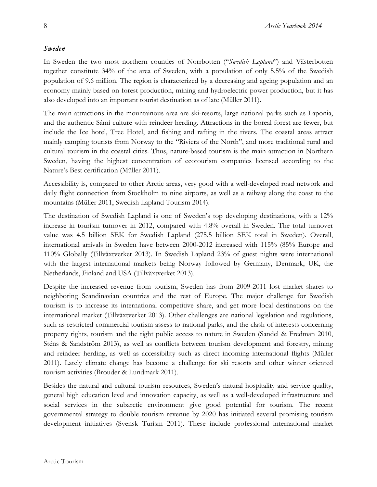## *Sweden*

In Sweden the two most northern counties of Norrbotten ("*Swedish Lapland*") and Västerbotten together constitute 34% of the area of Sweden, with a population of only 5.5% of the Swedish population of 9.6 million. The region is characterized by a decreasing and ageing population and an economy mainly based on forest production, mining and hydroelectric power production, but it has also developed into an important tourist destination as of late (Müller 2011).

The main attractions in the mountainous area are ski-resorts, large national parks such as Laponia, and the authentic Sámi culture with reindeer herding. Attractions in the boreal forest are fewer, but include the Ice hotel, Tree Hotel, and fishing and rafting in the rivers. The coastal areas attract mainly camping tourists from Norway to the "Riviera of the North", and more traditional rural and cultural tourism in the coastal cities. Thus, nature-based tourism is the main attraction in Northern Sweden, having the highest concentration of ecotourism companies licensed according to the Nature's Best certification (Müller 2011).

Accessibility is, compared to other Arctic areas, very good with a well-developed road network and daily flight connection from Stockholm to nine airports, as well as a railway along the coast to the mountains (Müller 2011, Swedish Lapland Tourism 2014).

The destination of Swedish Lapland is one of Sweden's top developing destinations, with a 12% increase in tourism turnover in 2012, compared with 4.8% overall in Sweden. The total turnover value was 4.5 billion SEK for Swedish Lapland (275.5 billion SEK total in Sweden). Overall, international arrivals in Sweden have between 2000-2012 increased with 115% (85% Europe and 110% Globally (Tillväxtverket 2013). In Swedish Lapland 23% of guest nights were international with the largest international markets being Norway followed by Germany, Denmark, UK, the Netherlands, Finland and USA (Tillväxtverket 2013).

Despite the increased revenue from tourism, Sweden has from 2009-2011 lost market shares to neighboring Scandinavian countries and the rest of Europe. The major challenge for Swedish tourism is to increase its international competitive share, and get more local destinations on the international market (Tillväxtverket 2013). Other challenges are national legislation and regulations, such as restricted commercial tourism assess to national parks, and the clash of interests concerning property rights, tourism and the right public access to nature in Sweden (Sandel & Fredman 2010, Sténs & Sandström 2013), as well as conflicts between tourism development and forestry, mining and reindeer herding, as well as accessibility such as direct incoming international flights (Müller 2011). Lately climate change has become a challenge for ski resorts and other winter oriented tourism activities (Brouder & Lundmark 2011).

Besides the natural and cultural tourism resources, Sweden's natural hospitality and service quality, general high education level and innovation capacity, as well as a well-developed infrastructure and social services in the subarctic environment give good potential for tourism. The recent governmental strategy to double tourism revenue by 2020 has initiated several promising tourism development initiatives (Svensk Turism 2011). These include professional international market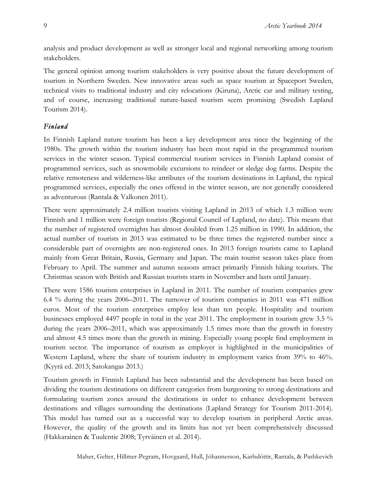analysis and product development as well as stronger local and regional networking among tourism stakeholders.

The general opinion among tourism stakeholders is very positive about the future development of tourism in Northern Sweden. New innovative areas such as space tourism at Spaceport Sweden, technical visits to traditional industry and city relocations (Kiruna), Arctic car and military testing, and of course, increasing traditional nature-based tourism seem promising (Swedish Lapland Tourism 2014).

## *Finland*

In Finnish Lapland nature tourism has been a key development area since the beginning of the 1980s. The growth within the tourism industry has been most rapid in the programmed tourism services in the winter season. Typical commercial tourism services in Finnish Lapland consist of programmed services, such as snowmobile excursions to reindeer or sledge dog farms. Despite the relative remoteness and wilderness-like attributes of the tourism destinations in Lapland, the typical programmed services, especially the ones offered in the winter season, are not generally considered as adventurous (Rantala & Valkonen 2011).

There were approximately 2.4 million tourists visiting Lapland in 2013 of which 1.3 million were Finnish and 1 million were foreign tourists (Regional Council of Lapland, no date). This means that the number of registered overnights has almost doubled from 1.25 million in 1990. In addition, the actual number of tourists in 2013 was estimated to be three times the registered number since a considerable part of overnights are non-registered ones. In 2013 foreign tourists came to Lapland mainly from Great Britain, Russia, Germany and Japan. The main tourist season takes place from February to April. The summer and autumn seasons attract primarily Finnish hiking tourists. The Christmas season with British and Russian tourists starts in November and lasts until January.

There were 1586 tourism enterprises in Lapland in 2011. The number of tourism companies grew 6.4 % during the years 2006–2011. The turnover of tourism companies in 2011 was 471 million euros. Most of the tourism enterprises employ less than ten people. Hospitality and tourism businesses employed 4497 people in total in the year 2011. The employment in tourism grew 3.5 % during the years 2006–2011, which was approximately 1.5 times more than the growth in forestry and almost 4.5 times more than the growth in mining. Especially young people find employment in tourism sector. The importance of tourism as employer is highlighted in the municipalities of Western Lapland, where the share of tourism industry in employment varies from 39% to 46%. (Kyyrä ed. 2013; Satokangas 2013.)

Tourism growth in Finnish Lapland has been substantial and the development has been based on dividing the tourism destinations on different categories from burgeoning to strong destinations and formulating tourism zones around the destinations in order to enhance development between destinations and villages surrounding the destinations (Lapland Strategy for Tourism 2011-2014). This model has turned out as a successful way to develop tourism in peripheral Arctic areas. However, the quality of the growth and its limits has not yet been comprehensively discussed (Hakkarainen & Tuulentie 2008; Tyrväinen et al. 2014).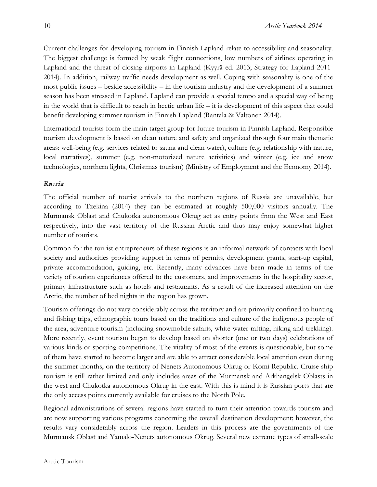Current challenges for developing tourism in Finnish Lapland relate to accessibility and seasonality. The biggest challenge is formed by weak flight connections, low numbers of airlines operating in Lapland and the threat of closing airports in Lapland (Kyyrä ed. 2013; Strategy for Lapland 2011- 2014). In addition, railway traffic needs development as well. Coping with seasonality is one of the most public issues – beside accessibility – in the tourism industry and the development of a summer season has been stressed in Lapland. Lapland can provide a special tempo and a special way of being in the world that is difficult to reach in hectic urban life – it is development of this aspect that could benefit developing summer tourism in Finnish Lapland (Rantala & Valtonen 2014).

International tourists form the main target group for future tourism in Finnish Lapland. Responsible tourism development is based on clean nature and safety and organized through four main thematic areas: well-being (e.g. services related to sauna and clean water), culture (e.g. relationship with nature, local narratives), summer (e.g. non-motorized nature activities) and winter (e.g. ice and snow technologies, northern lights, Christmas tourism) (Ministry of Employment and the Economy 2014).

## *Russia*

The official number of tourist arrivals to the northern regions of Russia are unavailable, but according to Tzekina (2014) they can be estimated at roughly 500,000 visitors annually. The Murmansk Oblast and Chukotka autonomous Okrug act as entry points from the West and East respectively, into the vast territory of the Russian Arctic and thus may enjoy somewhat higher number of tourists.

Common for the tourist entrepreneurs of these regions is an informal network of contacts with local society and authorities providing support in terms of permits, development grants, start-up capital, private accommodation, guiding, etc. Recently, many advances have been made in terms of the variety of tourism experiences offered to the customers, and improvements in the hospitality sector, primary infrastructure such as hotels and restaurants. As a result of the increased attention on the Arctic, the number of bed nights in the region has grown.

Tourism offerings do not vary considerably across the territory and are primarily confined to hunting and fishing trips, ethnographic tours based on the traditions and culture of the indigenous people of the area, adventure tourism (including snowmobile safaris, white-water rafting, hiking and trekking). More recently, event tourism began to develop based on shorter (one or two days) celebrations of various kinds or sporting competitions. The vitality of most of the events is questionable, but some of them have started to become larger and are able to attract considerable local attention even during the summer months, on the territory of Nenets Autonomous Okrug or Komi Republic. Cruise ship tourism is still rather limited and only includes areas of the Murmansk and Arkhangelsk Oblasts in the west and Chukotka autonomous Okrug in the east. With this is mind it is Russian ports that are the only access points currently available for cruises to the North Pole.

Regional administrations of several regions have started to turn their attention towards tourism and are now supporting various programs concerning the overall destination development; however, the results vary considerably across the region. Leaders in this process are the governments of the Murmansk Oblast and Yamalo-Nenets autonomous Okrug. Several new extreme types of small-scale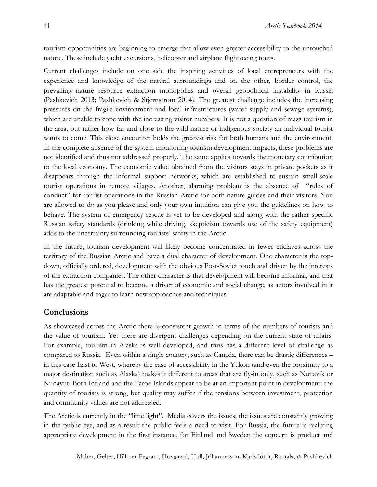tourism opportunities are beginning to emerge that allow even greater accessibility to the untouched nature. These include yacht excursions, helicopter and airplane flightseeing tours.

Current challenges include on one side the inspiring activities of local entrepreneurs with the experience and knowledge of the natural surroundings and on the other, border control, the prevailing nature resource extraction monopolies and overall geopolitical instability in Russia (Pashkevich 2013; Pashkevich & Stjernstrom 2014). The greatest challenge includes the increasing pressures on the fragile environment and local infrastructures (water supply and sewage systems), which are unable to cope with the increasing visitor numbers. It is not a question of mass tourism in the area, but rather how far and close to the wild nature or indigenous society an individual tourist wants to come. This close encounter holds the greatest risk for both humans and the environment. In the complete absence of the system monitoring tourism development impacts, these problems are not identified and thus not addressed properly. The same applies towards the monetary contribution to the local economy. The economic value obtained from the visitors stays in private pockets as it disappears through the informal support networks, which are established to sustain small-scale tourist operations in remote villages. Another, alarming problem is the absence of "rules of conduct" for tourist operations in the Russian Arctic for both nature guides and their visitors. You are allowed to do as you please and only your own intuition can give you the guidelines on how to behave. The system of emergency rescue is yet to be developed and along with the rather specific Russian safety standards (drinking while driving, skepticism towards use of the safety equipment) adds to the uncertainty surrounding tourists' safety in the Arctic.

In the future, tourism development will likely become concentrated in fewer enclaves across the territory of the Russian Arctic and have a dual character of development. One character is the topdown, officially ordered, development with the obvious Post-Soviet touch and driven by the interests of the extraction companies. The other character is that development will become informal, and that has the greatest potential to become a driver of economic and social change, as actors involved in it are adaptable and eager to learn new approaches and techniques.

#### **Conclusions**

As showcased across the Arctic there is consistent growth in terms of the numbers of tourists and the value of tourism. Yet there are divergent challenges depending on the current state of affairs. For example, tourism in Alaska is well developed, and thus has a different level of challenge as compared to Russia. Even within a single country, such as Canada, there can be drastic differences – in this case East to West, whereby the ease of accessibility in the Yukon (and even the proximity to a major destination such as Alaska) makes it different to areas that are fly-in only, such as Nunavik or Nunavut. Both Iceland and the Faroe Islands appear to be at an important point in development: the quantity of tourists is strong, but quality may suffer if the tensions between investment, protection and community values are not addressed.

The Arctic is currently in the "lime light". Media covers the issues; the issues are constantly growing in the public eye, and as a result the public feels a need to visit. For Russia, the future is realizing appropriate development in the first instance, for Finland and Sweden the concern is product and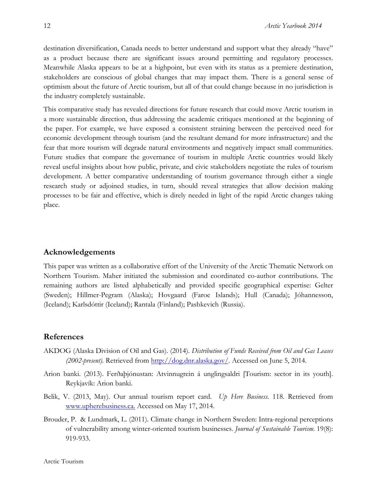destination diversification, Canada needs to better understand and support what they already "have" as a product because there are significant issues around permitting and regulatory processes. Meanwhile Alaska appears to be at a highpoint, but even with its status as a premiere destination, stakeholders are conscious of global changes that may impact them. There is a general sense of optimism about the future of Arctic tourism, but all of that could change because in no jurisdiction is the industry completely sustainable.

This comparative study has revealed directions for future research that could move Arctic tourism in a more sustainable direction, thus addressing the academic critiques mentioned at the beginning of the paper. For example, we have exposed a consistent straining between the perceived need for economic development through tourism (and the resultant demand for more infrastructure) and the fear that more tourism will degrade natural environments and negatively impact small communities. Future studies that compare the governance of tourism in multiple Arctic countries would likely reveal useful insights about how public, private, and civic stakeholders negotiate the rules of tourism development. A better comparative understanding of tourism governance through either a single research study or adjoined studies, in turn, should reveal strategies that allow decision making processes to be fair and effective, which is direly needed in light of the rapid Arctic changes taking place.

### **Acknowledgements**

This paper was written as a collaborative effort of the University of the Arctic Thematic Network on Northern Tourism. Maher initiated the submission and coordinated co-author contributions. The remaining authors are listed alphabetically and provided specific geographical expertise: Gelter (Sweden); Hillmer-Pegram (Alaska); Hovgaard (Faroe Islands); Hull (Canada); Jóhannesson, (Iceland); Karlsdóttir (Iceland); Rantala (Finland); Pashkevich (Russia).

### **References**

- AKDOG (Alaska Division of Oil and Gas). (2014). *Distribution of Funds Received from Oil and Gas Leases (2002-present).* Retrieved from http://dog.dnr.alaska.gov/. Accessed on June 5, 2014.
- Arion banki. (2013). Ferðaþjónustan: Atvinnugrein á unglingsaldri [Tourism: sector in its youth]. Reykjavík: Arion banki.
- Belik, V. (2013, May). Our annual tourism report card. *Up Here Business*. 118. Retrieved from www.upherebusiness.ca. Accessed on May 17, 2014.
- Brouder, P. & Lundmark, L. (2011). Climate change in Northern Sweden: Intra-regional perceptions of vulnerability among winter-oriented tourism businesses. *Journal of Sustainable Tourism*. 19(8): 919-933.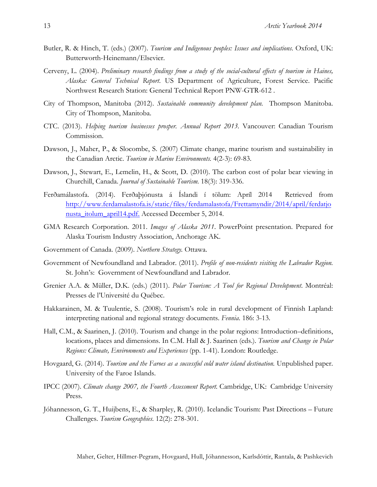- Butler, R. & Hinch, T. (eds.) (2007). *Tourism and Indigenous peoples: Issues and implications*. Oxford, UK: Butterworth-Heinemann/Elsevier.
- Cerveny, L. (2004). *Preliminary research findings from a study of the social-cultural effects of tourism in Haines, Alaska: General Technical Report*. US Department of Agriculture, Forest Service. Pacific Northwest Research Station: General Technical Report PNW-GTR-612 .
- City of Thompson, Manitoba (2012). *Sustainable community development plan.* Thompson Manitoba. City of Thompson, Manitoba.
- CTC. (2013). *Helping tourism businesses prosper. Annual Report 2013.* Vancouver: Canadian Tourism Commission.
- Dawson, J., Maher, P., & Slocombe, S. (2007) Climate change, marine tourism and sustainability in the Canadian Arctic. *Tourism in Marine Environments.* 4(2-3): 69-83.
- Dawson, J., Stewart, E., Lemelin, H., & Scott, D. (2010). The carbon cost of polar bear viewing in Churchill, Canada. *Journal of Sustainable Tourism.* 18(3): 319-336.
- Ferðamálastofa. (2014). Ferðaþjónusta á Íslandi í tölum: Apríl 2014 Retrieved from http://www.ferdamalastofa.is/static/files/ferdamalastofa/Frettamyndir/2014/april/ferdatjo nusta\_itolum\_april14.pdf. Accessed December 5, 2014.
- GMA Research Corporation. 2011. *Images of Alaska 2011*. PowerPoint presentation. Prepared for Alaska Tourism Industry Association, Anchorage AK.
- Government of Canada. (2009). *Northern Strategy.* Ottawa.
- Government of Newfoundland and Labrador. (2011). *Profile of non-residents visiting the Labrador Region.*  St. John's: Government of Newfoundland and Labrador.
- Grenier A.A. & Müller, D.K. (eds.) (2011). *Polar Tourism: A Tool for Regional Development*. Montréal: Presses de l'Université du Québec.
- Hakkarainen, M. & Tuulentie, S. (2008). Tourism's role in rural development of Finnish Lapland: interpreting national and regional strategy documents. *Fennia*. 186: 3-13.
- Hall, C.M., & Saarinen, J. (2010). Tourism and change in the polar regions: Introduction–definitions, locations, places and dimensions. In C.M. Hall & J. Saarinen (eds.). *Tourism and Change in Polar Regions: Climate, Environments and Experiences* (pp. 1-41). London: Routledge.
- Hovgaard, G. (2014). *Tourism and the Faroes as a successful cold water island destination.* Unpublished paper. University of the Faroe Islands.
- IPCC (2007). *Climate change 2007, the Fourth Assessment Report.* Cambridge, UK: Cambridge University Press.
- Jóhannesson, G. T., Huijbens, E., & Sharpley, R. (2010). Icelandic Tourism: Past Directions Future Challenges. *Tourism Geographies.* 12(2): 278-301.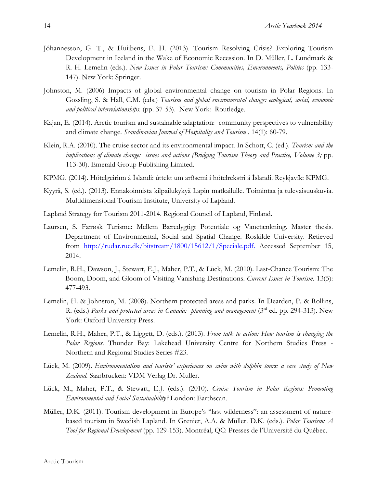- Jóhannesson, G. T., & Huijbens, E. H. (2013). Tourism Resolving Crisis? Exploring Tourism Development in Iceland in the Wake of Economic Recession. In D. Müller, L. Lundmark & R. H. Lemelin (eds.). *New Issues in Polar Tourism: Communities, Environments, Politics* (pp. 133- 147). New York: Springer.
- Johnston, M. (2006) Impacts of global environmental change on tourism in Polar Regions. In Gossling, S. & Hall, C.M. (eds.) *Tourism and global environmental change: ecological, social, economic and political interrelationships.* (pp. 37-53). New York: Routledge.
- Kajan, E. (2014). Arctic tourism and sustainable adaptation: community perspectives to vulnerability and climate change. *Scandinavian Journal of Hospitality and Tourism* . 14(1): 60-79.
- Klein, R.A. (2010). The cruise sector and its environmental impact. In Schott, C. (ed.). *Tourism and the implications of climate change: issues and actions (Bridging Tourism Theory and Practice, Volume 3;* pp. 113-30). Emerald Group Publishing Limited.
- KPMG. (2014). Hótelgeirinn á Íslandi: úttekt um arðsemi í hótelrekstri á Íslandi. Reykjavík: KPMG.
- Kyyrä, S. (ed.). (2013). Ennakoinnista kilpailukykyä Lapin matkailulle. Toimintaa ja tulevaisuuskuvia. Multidimensional Tourism Institute, University of Lapland.
- Lapland Strategy for Tourism 2011-2014. Regional Council of Lapland, Finland.
- Laursen, S. Færøsk Turisme: Mellem Bæredygtigt Potentiale og Vanetænkning. Master thesis. Department of Environmental, Social and Spatial Change. Roskilde University. Retieved from http://rudar.ruc.dk/bitstream/1800/15612/1/Speciale.pdf. Accessed September 15, 2014.
- Lemelin, R.H., Dawson, J., Stewart, E.J., Maher, P.T., & Lück, M. (2010). Last-Chance Tourism: The Boom, Doom, and Gloom of Visiting Vanishing Destinations. *Current Issues in Tourism.* 13(5): 477-493.
- Lemelin, H. & Johnston, M. (2008). Northern protected areas and parks. In Dearden, P. & Rollins, R. (eds.) *Parks and protected areas in Canada: planning and management* (3rd ed. pp. 294-313). New York: Oxford University Press.
- Lemelin, R.H., Maher, P.T., & Liggett, D. (eds.). (2013). *From talk to action: How tourism is changing the Polar Regions*. Thunder Bay: Lakehead University Centre for Northern Studies Press - Northern and Regional Studies Series #23.
- Lück, M. (2009). *Environmentalism and tourists' experiences on swim with dolphin tours: a case study of New Zealand.* Saarbrucken: VDM Verlag Dr. Muller.
- Lück, M., Maher, P.T., & Stewart, E.J. (eds.). (2010). *Cruise Tourism in Polar Regions: Promoting Environmental and Social Sustainability?* London: Earthscan.
- Müller, D.K. (2011). Tourism development in Europe's "last wilderness": an assessment of naturebased tourism in Swedish Lapland. In Grenier, A.A. & Müller. D.K. (eds.). *Polar Tourism: A Tool for Regional Development* (pp. 129-153). Montréal, QC: Presses de l'Université du Québec.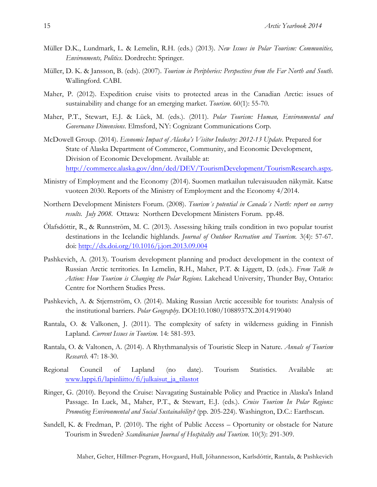- Müller D.K., Lundmark, L. & Lemelin, R.H. (eds.) (2013). *New Issues in Polar Tourism: Communities, Environments, Politics*. Dordrecht: Springer.
- Müller, D. K. & Jansson, B. (eds). (2007). *Tourism in Peripheries: Perspectives from the Far North and South*. Wallingford. CABI.
- Maher, P. (2012). Expedition cruise visits to protected areas in the Canadian Arctic: issues of sustainability and change for an emerging market. *Tourism*. 60(1): 55-70.
- Maher, P.T., Stewart, E.J. & Lück, M. (eds.). (2011). *Polar Tourism: Human, Environmental and Governance Dimensions*. Elmsford, NY: Cognizant Communications Corp.
- McDowell Group. (2014). *Economic Impact of Alaska's Visitor Industry: 2012-13 Update*. Prepared for State of Alaska Department of Commerce, Community, and Economic Development, Division of Economic Development. Available at: http://commerce.alaska.gov/dnn/ded/DEV/TourismDevelopment/TourismResearch.aspx.
- Ministry of Employment and the Economy (2014). Suomen matkailun tulevaisuuden näkymät. Katse vuoteen 2030. Reports of the Ministry of Employment and the Economy 4/2014.
- Northern Development Ministers Forum. (2008). *Tourism´s potential in Canada´s North: report on survey results. July 2008.* Ottawa: Northern Development Ministers Forum. pp.48.
- Ólafsdóttir, R., & Runnström, M. C. (2013). Assessing hiking trails condition in two popular tourist destinations in the Icelandic highlands. *Journal of Outdoor Recreation and Tourism.* 3(4): 57-67. doi: http://dx.doi.org/10.1016/j.jort.2013.09.004
- Pashkevich, A. (2013). Tourism development planning and product development in the context of Russian Arctic territories. In Lemelin, R.H., Maher, P.T. & Liggett, D. (eds.). *From Talk to Action: How Tourism is Changing the Polar Regions.* Lakehead University, Thunder Bay, Ontario: Centre for Northern Studies Press.
- Pashkevich, A. & Stjernström, O. (2014). Making Russian Arctic accessible for tourists: Analysis of the institutional barriers. *Polar Geography*. DOI:10.1080/1088937X.2014.919040
- Rantala, O. & Valkonen, J. (2011). The complexity of safety in wilderness guiding in Finnish Lapland. *Current Issues in Tourism.* 14: 581-593.
- Rantala, O. & Valtonen, A. (2014). A Rhythmanalysis of Touristic Sleep in Nature. *Annals of Tourism Research.* 47: 18-30.
- Regional Council of Lapland (no date). Tourism Statistics. Available at: www.lappi.fi/lapinliitto/fi/julkaisut\_ja\_tilastot
- Ringer, G. (2010). Beyond the Cruise: Navagating Sustainable Policy and Practice in Alaska's Inland Passage. In Luck, M., Maher, P.T., & Stewart, E.J. (eds.). *Cruise Tourism In Polar Regions: Promoting Environmental and Social Sustainability?* (pp. 205-224). Washington, D.C.: Earthscan.
- Sandell, K. & Fredman, P. (2010). The right of Public Access Oportunity or obstacle for Nature Tourism in Sweden? *Scandinavian Journal of Hospitality and Tourism.* 10(3): 291-309.

15

Maher, Gelter, Hillmer-Pegram, Hovgaard, Hull, Jóhannesson, Karlsdóttir, Rantala, & Pashkevich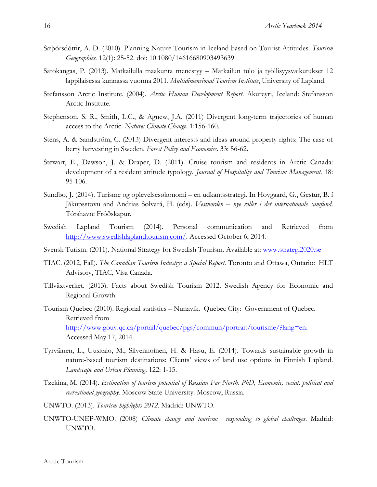- Sæþórsdóttir, A. D. (2010). Planning Nature Tourism in Iceland based on Tourist Attitudes. *Tourism Geographies.* 12(1): 25-52. doi: 10.1080/14616680903493639
- Satokangas, P. (2013). Matkailulla maakunta menestyy Matkailun tulo ja työllisyysvaikutukset 12 lappilaisessa kunnassa vuonna 2011. *Multidimensional Tourism Institute*, University of Lapland.
- Stefansson Arctic Institute. (2004). *Arctic Human Development Report*. Akureyri, Iceland: Stefansson Arctic Institute.
- Stephenson, S. R., Smith, L.C., & Agnew, J.A. (2011) Divergent long-term trajectories of human access to the Arctic. *Nature: Climate Change.* 1:156-160.
- Sténs, A. & Sandström, C. (2013) Divergent interests and ideas around property rights: The case of berry harvesting in Sweden. *Forest Policy and Economics*. 33: 56-62.
- Stewart, E., Dawson, J. & Draper, D. (2011). Cruise tourism and residents in Arctic Canada: development of a resident attitude typology*. Journal of Hospitality and Tourism Management.* 18: 95-106.
- Sundbo, J. (2014). Turisme og oplevelsesøkonomi en udkantsstrategi. In Hovgaard, G., Gestur, B. í Jákupsstovu and Andrias Sølvará, H. (eds). *Vestnorden – nye roller i det internationale samfund*. Tórshavn: Fróðskapur.
- Swedish Lapland Tourism (2014). Personal communication and Retrieved from http://www.swedishlaplandtourism.com/. Accessed October 6, 2014.
- Svensk Turism. (2011). National Strategy for Swedish Tourism. Available at: www.strategi2020.se
- TIAC. (2012, Fall). *The Canadian Tourism Industry: a Special Report.* Toronto and Ottawa, Ontario: HLT Advisory, TIAC, Visa Canada.
- Tillväxtverket. (2013). Facts about Swedish Tourism 2012. Swedish Agency for Economic and Regional Growth.
- Tourism Quebec (2010). Regional statistics Nunavik. Quebec City: Government of Quebec. Retrieved from http://www.gouv.qc.ca/portail/quebec/pgs/commun/portrait/tourisme/?lang=en. Accessed May 17, 2014.
- Tyrväinen, L., Uusitalo, M., Silvennoinen, H. & Hasu, E. (2014). Towards sustainable growth in nature-based tourism destinations: Clients' views of land use options in Finnish Lapland. *Landscape and Urban Planning*. 122: 1-15.
- Tzekina, M. (2014). *Estimation of tourism potential of Russian Far North. PhD, Economic, social, political and recreational geography.* Moscow State University: Moscow, Russia.
- UNWTO. (2013). *Tourism highlights 2012.* Madrid: UNWTO.
- UNWTO-UNEP-WMO. (2008) *Climate change and tourism: responding to global challenges*. Madrid: UNWTO.